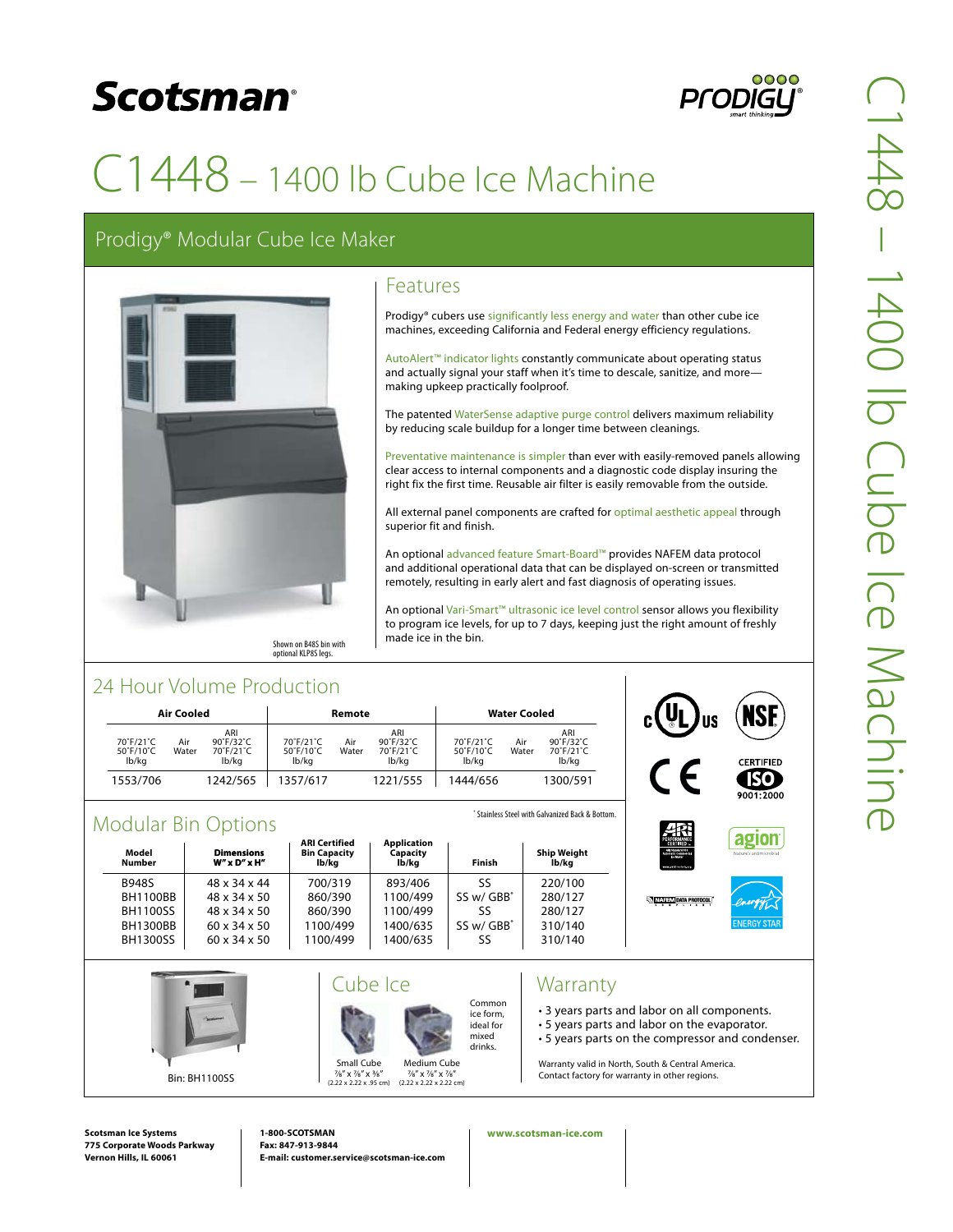## **Scotsman**<sup>®</sup>



# C1448 – 1400 lb Cube Ice Machine

### Prodigy® Modular Cube Ice Maker



### Features

Prodigy® cubers use significantly less energy and water than other cube ice machines, exceeding California and Federal energy efficiency regulations.

AutoAlert™ indicator lights constantly communicate about operating status and actually signal your staff when it's time to descale, sanitize, and more making upkeep practically foolproof.

The patented WaterSense adaptive purge control delivers maximum reliability by reducing scale buildup for a longer time between cleanings.

Preventative maintenance is simpler than ever with easily-removed panels allowing clear access to internal components and a diagnostic code display insuring the right fix the first time. Reusable air filter is easily removable from the outside.

All external panel components are crafted for optimal aesthetic appeal through superior fit and finish.

An optional advanced feature Smart-Board™ provides NAFEM data protocol and additional operational data that can be displayed on-screen or transmitted remotely, resulting in early alert and fast diagnosis of operating issues.

An optional Vari-Smart™ ultrasonic ice level control sensor allows you flexibility to program ice levels, for up to 7 days, keeping just the right amount of freshly made ice in the bin.

### 24 Hour Volume Production

| Air Cooled                      |              |                                        | Remote                          |              |                                                         | <b>Water Cooled</b>             |              |                                                         |
|---------------------------------|--------------|----------------------------------------|---------------------------------|--------------|---------------------------------------------------------|---------------------------------|--------------|---------------------------------------------------------|
| 70°F/21°C<br>50°F/10°C<br>lb/kg | Air<br>Water | ARI<br>90°F/32°C<br>70°F/21°C<br>lb/kg | 70°F/21°C<br>50°F/10°C<br>lb/kg | Air<br>Water | ARI<br>$90^\circ$ F/32 $^\circ$ C<br>70°F/21°C<br>lb/kg | 70°F/21°C<br>50°F/10°C<br>lb/ka | Air<br>Water | ARI<br>$90^\circ$ F/32 $^\circ$ C<br>70°F/21°C<br>lb/ka |
| 1553/706                        |              | 1242/565                               | 1357/617                        |              | 1221/555                                                | 1444/656                        |              | 1300/591                                                |



### Modular Rin Options

| Model<br>Number                                                                          | vivuuidi Diil Optiviis<br><b>Dimensions</b><br>$W''$ x $D''$ x $H''$                                 | <b>ARI Certified</b><br><b>Bin Capacity</b><br>lb/kg  | <b>Application</b><br>Capacity<br>lb/kg                 | Finish                                     | <b>Ship Weight</b><br>lb/kg                         | PERFORMANCE<br>AM Standard 810<br>Asterialic Commercial<br>ce Maker<br>ment enidirectory and | Nature's antimicrobial       |
|------------------------------------------------------------------------------------------|------------------------------------------------------------------------------------------------------|-------------------------------------------------------|---------------------------------------------------------|--------------------------------------------|-----------------------------------------------------|----------------------------------------------------------------------------------------------|------------------------------|
| <b>B948S</b><br><b>BH1100BB</b><br><b>BH1100SS</b><br><b>BH1300BB</b><br><b>BH1300SS</b> | 48 x 34 x 44<br>48 x 34 x 50<br>48 x 34 x 50<br>$60 \times 34 \times 50$<br>$60 \times 34 \times 50$ | 700/319<br>860/390<br>860/390<br>1100/499<br>1100/499 | 893/406<br>1100/499<br>1100/499<br>1400/635<br>1400/635 | SS<br>SS w/ GBB*<br>SS<br>SS w/ GBB*<br>SS | 220/100<br>280/127<br>280/127<br>310/140<br>310/140 | <b>NATE IN DATA PROTOCOL</b>                                                                 | energy<br><b>ENERGY STAR</b> |
|                                                                                          |                                                                                                      |                                                       | Cube Ice                                                | Common<br>ice form.<br>ideal for           | Warranty                                            | • 3 years parts and labor on all components.<br>. 5 years parts and labor on the evaporator  |                              |

Medium Cube 7/8" x 7/8" x 7/8" (2.22 x 2.22 x 2.22 cm) mixed drinks. • 5 years parts and labor on the evaporator.

• 5 years parts on the compressor and condenser.

Warranty valid in North, South & Central America. Contact factory for warranty in other regions.

**Scotsman Ice Systems 775 Corporate Woods Parkway Vernon Hills, IL 60061**

Bin: BH1100SS

**1-800-SCOTSMAN Fax: 847-913-9844 E-mail: customer.service@scotsman-ice.com**

Small Cube 7/8" x 7/8" x 3/8" (2.22 x 2.22 x .95 cm)

#### **www.scotsman-ice.com**

\* Stainless Steel with Galvanized Back & Bottom.